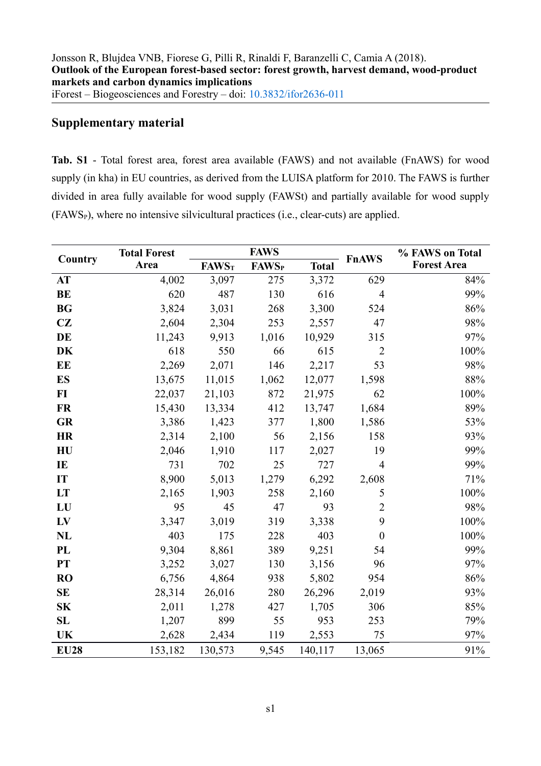## **Supplementary material**

**Tab. S1** - Total forest area, forest area available (FAWS) and not available (FnAWS) for wood supply (in kha) in EU countries, as derived from the LUISA platform for 2010. The FAWS is further divided in area fully available for wood supply (FAWSt) and partially available for wood supply  $(FAWS<sub>P</sub>)$ , where no intensive silvicultural practices (i.e., clear-cuts) are applied.

| Country     | <b>Total Forest</b> |              | <b>FAWS</b>              |              |                | % FAWS on Total    |  |
|-------------|---------------------|--------------|--------------------------|--------------|----------------|--------------------|--|
|             | Area                | <b>FAWST</b> | <b>FAWS</b> <sub>P</sub> | <b>Total</b> | <b>FnAWS</b>   | <b>Forest Area</b> |  |
| AT          | 4,002               | 3,097        | 275                      | 3,372        | 629            | 84%                |  |
| <b>BE</b>   | 620                 | 487          | 130                      | 616          | $\overline{4}$ | 99%                |  |
| <b>BG</b>   | 3,824               | 3,031        | 268                      | 3,300        | 524            | 86%                |  |
| CZ          | 2,604               | 2,304        | 253                      | 2,557        | 47             | 98%                |  |
| DE          | 11,243              | 9,913        | 1,016                    | 10,929       | 315            | 97%                |  |
| <b>DK</b>   | 618                 | 550          | 66                       | 615          | $\overline{2}$ | 100%               |  |
| EE          | 2,269               | 2,071        | 146                      | 2,217        | 53             | 98%                |  |
| <b>ES</b>   | 13,675              | 11,015       | 1,062                    | 12,077       | 1,598          | 88%                |  |
| $FI$        | 22,037              | 21,103       | 872                      | 21,975       | 62             | 100%               |  |
| <b>FR</b>   | 15,430              | 13,334       | 412                      | 13,747       | 1,684          | 89%                |  |
| <b>GR</b>   | 3,386               | 1,423        | 377                      | 1,800        | 1,586          | 53%                |  |
| <b>HR</b>   | 2,314               | 2,100        | 56                       | 2,156        | 158            | 93%                |  |
| HU          | 2,046               | 1,910        | 117                      | 2,027        | 19             | 99%                |  |
| IE          | 731                 | 702          | 25                       | 727          | $\overline{4}$ | 99%                |  |
| IT          | 8,900               | 5,013        | 1,279                    | 6,292        | 2,608          | 71%                |  |
| LT          | 2,165               | 1,903        | 258                      | 2,160        | 5              | 100%               |  |
| LU          | 95                  | 45           | 47                       | 93           | $\overline{2}$ | 98%                |  |
| LV          | 3,347               | 3,019        | 319                      | 3,338        | 9              | 100%               |  |
| <b>NL</b>   | 403                 | 175          | 228                      | 403          | $\overline{0}$ | 100%               |  |
| PL          | 9,304               | 8,861        | 389                      | 9,251        | 54             | 99%                |  |
| PT          | 3,252               | 3,027        | 130                      | 3,156        | 96             | 97%                |  |
| <b>RO</b>   | 6,756               | 4,864        | 938                      | 5,802        | 954            | 86%                |  |
| <b>SE</b>   | 28,314              | 26,016       | 280                      | 26,296       | 2,019          | 93%                |  |
| <b>SK</b>   | 2,011               | 1,278        | 427                      | 1,705        | 306            | 85%                |  |
| SL          | 1,207               | 899          | 55                       | 953          | 253            | 79%                |  |
| <b>UK</b>   | 2,628               | 2,434        | 119                      | 2,553        | 75             | 97%                |  |
| <b>EU28</b> | 153,182             | 130,573      | 9,545                    | 140,117      | 13,065         | 91%                |  |